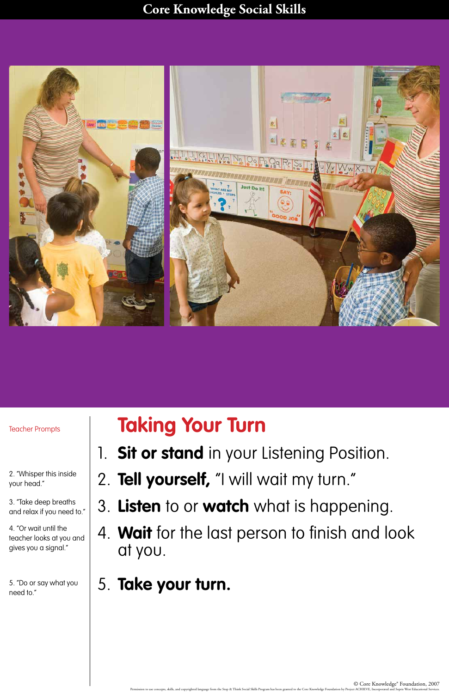## **Core Knowledge Social Skills**

© Core Knowledge® Foundation, 2007 Permission to use concepts, skills, and copyrighted language from the Stop & Think Social Skills Program has been granted to the Core Knowledge Foundation by Project ACHIEVE, Incorporated and Sopris West Educational Servic



## **Taking Your Turn**

- 1. **Sit or stand** in your Listening Position.
- 2. **Tell yourself,** "I will wait my turn."
- 3. **Listen** to or **watch** what is happening.

4. **Wait** for the last person to finish and look at you.

5. **Take your turn.**

## Teacher Prompts

2. "Whisper this inside your head."

3. "Take deep breaths

and relax if you need to."

4. "Or wait until the teacher looks at you and gives you a signal."

5. "Do or say what you need to."